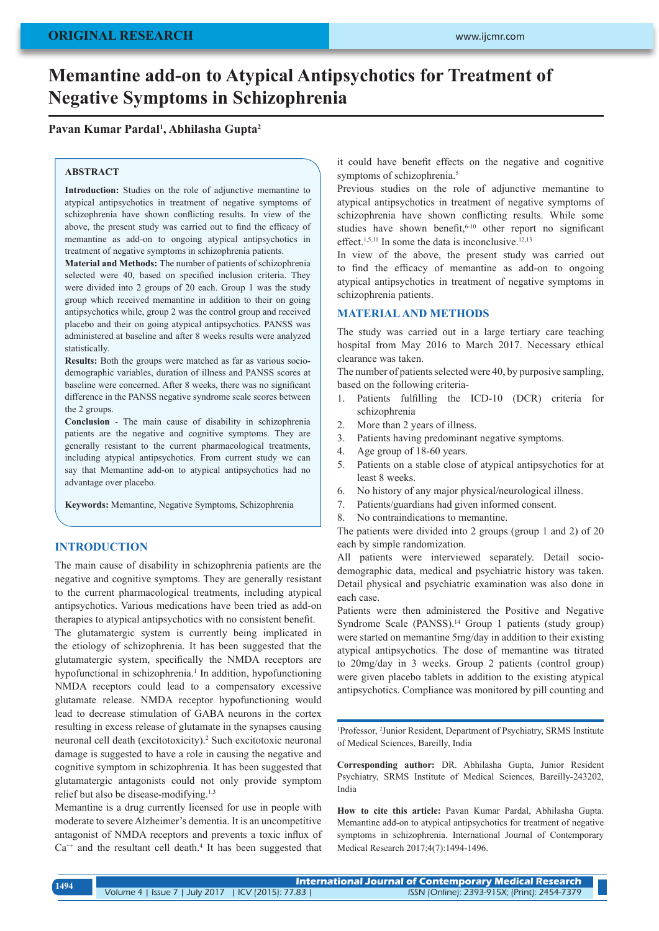# **Memantine add-on to Atypical Antipsychotics for Treatment of Negative Symptoms in Schizophrenia**

# **Pavan Kumar Pardal1 , Abhilasha Gupta2**

#### **ABSTRACT**

**Introduction:** Studies on the role of adjunctive memantine to atypical antipsychotics in treatment of negative symptoms of schizophrenia have shown conflicting results. In view of the above, the present study was carried out to find the efficacy of memantine as add-on to ongoing atypical antipsychotics in treatment of negative symptoms in schizophrenia patients.

**Material and Methods:** The number of patients of schizophrenia selected were 40, based on specified inclusion criteria. They were divided into 2 groups of 20 each. Group 1 was the study group which received memantine in addition to their on going antipsychotics while, group 2 was the control group and received placebo and their on going atypical antipsychotics. PANSS was administered at baseline and after 8 weeks results were analyzed statistically.

**Results:** Both the groups were matched as far as various sociodemographic variables, duration of illness and PANSS scores at baseline were concerned. After 8 weeks, there was no significant difference in the PANSS negative syndrome scale scores between the 2 groups.

**Conclusion** - The main cause of disability in schizophrenia patients are the negative and cognitive symptoms. They are generally resistant to the current pharmacological treatments, including atypical antipsychotics. From current study we can say that Memantine add-on to atypical antipsychotics had no advantage over placebo.

**Keywords:** Memantine, Negative Symptoms, Schizophrenia

# **INTRODUCTION**

The main cause of disability in schizophrenia patients are the negative and cognitive symptoms. They are generally resistant to the current pharmacological treatments, including atypical antipsychotics. Various medications have been tried as add-on therapies to atypical antipsychotics with no consistent benefit.

The glutamatergic system is currently being implicated in the etiology of schizophrenia. It has been suggested that the glutamatergic system, specifically the NMDA receptors are hypofunctional in schizophrenia.<sup>1</sup> In addition, hypofunctioning NMDA receptors could lead to a compensatory excessive glutamate release. NMDA receptor hypofunctioning would lead to decrease stimulation of GABA neurons in the cortex resulting in excess release of glutamate in the synapses causing neuronal cell death (excitotoxicity).<sup>2</sup> Such excitotoxic neuronal damage is suggested to have a role in causing the negative and cognitive symptom in schizophrenia. It has been suggested that glutamatergic antagonists could not only provide symptom relief but also be disease-modifying.<sup>1,3</sup>

Memantine is a drug currently licensed for use in people with moderate to severe Alzheimer's dementia. It is an uncompetitive antagonist of NMDA receptors and prevents a toxic influx of  $Ca^{++}$  and the resultant cell death.<sup>4</sup> It has been suggested that it could have benefit effects on the negative and cognitive symptoms of schizophrenia.<sup>5</sup>

Previous studies on the role of adjunctive memantine to atypical antipsychotics in treatment of negative symptoms of schizophrenia have shown conflicting results. While some studies have shown benefit, $6-10$  other report no significant effect.<sup>1,5,11</sup> In some the data is inconclusive.<sup>12,13</sup>

In view of the above, the present study was carried out to find the efficacy of memantine as add-on to ongoing atypical antipsychotics in treatment of negative symptoms in schizophrenia patients.

### **MATERIAL AND METHODS**

The study was carried out in a large tertiary care teaching hospital from May 2016 to March 2017. Necessary ethical clearance was taken.

The number of patients selected were 40, by purposive sampling, based on the following criteria-

- 1. Patients fulfilling the ICD-10 (DCR) criteria for schizophrenia
- 2. More than 2 years of illness.
- 3. Patients having predominant negative symptoms.
- 4. Age group of 18-60 years.
- 5. Patients on a stable close of atypical antipsychotics for at least 8 weeks.
- 6. No history of any major physical/neurological illness.
- 7. Patients/guardians had given informed consent.
- 8. No contraindications to memantine.

The patients were divided into 2 groups (group 1 and 2) of 20 each by simple randomization.

All patients were interviewed separately. Detail sociodemographic data, medical and psychiatric history was taken. Detail physical and psychiatric examination was also done in each case.

Patients were then administered the Positive and Negative Syndrome Scale (PANSS).<sup>14</sup> Group 1 patients (study group) were started on memantine 5mg/day in addition to their existing atypical antipsychotics. The dose of memantine was titrated to 20mg/day in 3 weeks. Group 2 patients (control group) were given placebo tablets in addition to the existing atypical antipsychotics. Compliance was monitored by pill counting and

1 Professor, <sup>2</sup> Junior Resident, Department of Psychiatry, SRMS Institute of Medical Sciences, Bareilly, India

**Corresponding author:** DR. Abhilasha Gupta, Junior Resident Psychiatry, SRMS Institute of Medical Sciences, Bareilly-243202, India

**How to cite this article:** Pavan Kumar Pardal, Abhilasha Gupta. Memantine add-on to atypical antipsychotics for treatment of negative symptoms in schizophrenia. International Journal of Contemporary Medical Research 2017;4(7):1494-1496.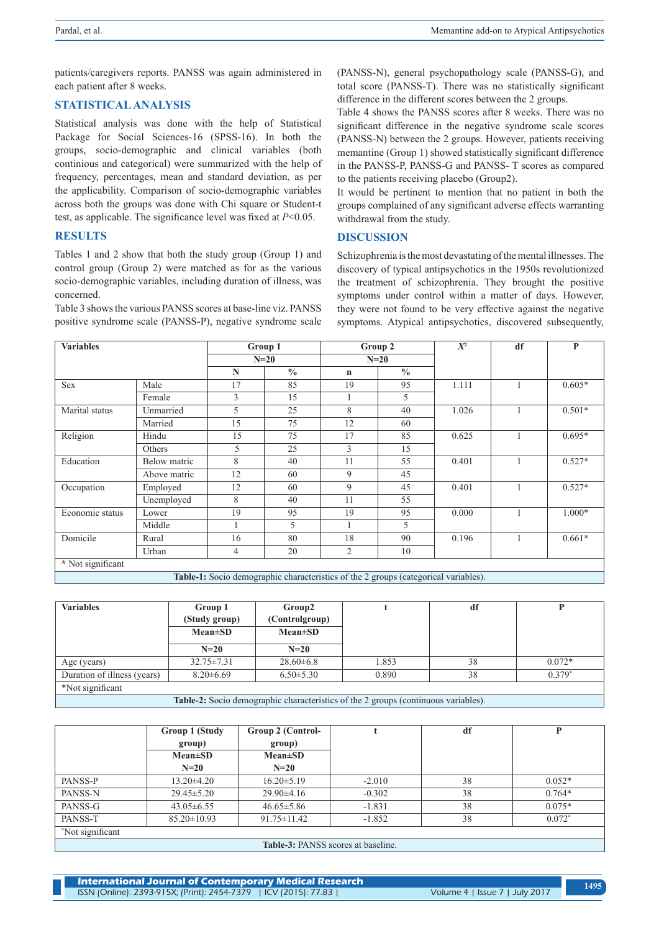patients/caregivers reports. PANSS was again administered in each patient after 8 weeks.

# **STATISTICAL ANALYSIS**

Statistical analysis was done with the help of Statistical Package for Social Sciences-16 (SPSS-16). In both the groups, socio-demographic and clinical variables (both continious and categorical) were summarized with the help of frequency, percentages, mean and standard deviation, as per the applicability. Comparison of socio-demographic variables across both the groups was done with Chi square or Student-t test, as applicable. The significance level was fixed at *P*<0.05.

# **RESULTS**

Tables 1 and 2 show that both the study group (Group 1) and control group (Group 2) were matched as for as the various socio-demographic variables, including duration of illness, was concerned.

Table 3 shows the various PANSS scores at base-line viz. PANSS positive syndrome scale (PANSS-P), negative syndrome scale (PANSS-N), general psychopathology scale (PANSS-G), and total score (PANSS-T). There was no statistically significant difference in the different scores between the 2 groups.

Table 4 shows the PANSS scores after 8 weeks. There was no significant difference in the negative syndrome scale scores (PANSS-N) between the 2 groups. However, patients receiving memantine (Group 1) showed statistically significant difference in the PANSS-P, PANSS-G and PANSS- T scores as compared to the patients receiving placebo (Group2).

It would be pertinent to mention that no patient in both the groups complained of any significant adverse effects warranting withdrawal from the study.

#### **DISCUSSION**

Schizophrenia is the most devastating of the mental illnesses. The discovery of typical antipsychotics in the 1950s revolutionized the treatment of schizophrenia. They brought the positive symptoms under control within a matter of days. However, they were not found to be very effective against the negative symptoms. Atypical antipsychotics, discovered subsequently,

| <b>Variables</b>  |              | Group 1        |               | Group 2        |               | $X^2$ | df | P        |
|-------------------|--------------|----------------|---------------|----------------|---------------|-------|----|----------|
|                   |              | $N=20$         |               | $N=20$         |               |       |    |          |
|                   |              | N              | $\frac{0}{0}$ | $\mathbf n$    | $\frac{0}{0}$ |       |    |          |
| Sex               | Male         | 17             | 85            | 19             | 95            | 1.111 |    | $0.605*$ |
|                   | Female       | 3              | 15            |                | 5             |       |    |          |
| Marital status    | Unmarried    | 5              | 25            | 8              | 40            | 1.026 |    | $0.501*$ |
|                   | Married      | 15             | 75            | 12             | 60            |       |    |          |
| Religion          | Hindu        | 15             | 75            | 17             | 85            | 0.625 |    | $0.695*$ |
|                   | Others       | 5              | 25            | 3              | 15            |       |    |          |
| Education         | Below matric | 8              | 40            | 11             | 55            | 0.401 |    | $0.527*$ |
|                   | Above matric | 12             | 60            | 9              | 45            |       |    |          |
| Occupation        | Employed     | 12             | 60            | 9              | 45            | 0.401 |    | $0.527*$ |
|                   | Unemployed   | 8              | 40            | 11             | 55            |       |    |          |
| Economic status   | Lower        | 19             | 95            | 19             | 95            | 0.000 |    | $1.000*$ |
|                   | Middle       |                | 5             |                | 5             |       |    |          |
| Domicile          | Rural        | 16             | 80            | 18             | 90            | 0.196 |    | $0.661*$ |
|                   | Urban        | $\overline{4}$ | 20            | $\overline{2}$ | 10            |       |    |          |
| * Not significant |              |                |               |                |               |       |    |          |

**Table-1:** Socio demographic characteristics of the 2 groups (categorical variables).

| <b>Variables</b>                                                                   | Group 1          | Group2          |       | df |          |
|------------------------------------------------------------------------------------|------------------|-----------------|-------|----|----------|
|                                                                                    | (Study group)    | (Controlgroup)  |       |    |          |
|                                                                                    | $Mean \pm SD$    | $Mean \pm SD$   |       |    |          |
|                                                                                    | $N=20$           | $N=20$          |       |    |          |
| Age (years)                                                                        | $32.75 \pm 7.31$ | $28.60\pm 6.8$  | 1.853 | 38 | $0.072*$ |
| Duration of illness (years)                                                        | $8.20 \pm 6.69$  | $6.50 \pm 5.30$ | 0.890 | 38 | $0.379*$ |
| *Not significant                                                                   |                  |                 |       |    |          |
| Table-2: Socio demographic characteristics of the 2 groups (continuous variables). |                  |                 |       |    |          |

|                                                               | Group 1 (Study<br>group)<br>$Mean \pm SD$<br>$N=20$ | Group 2 (Control-<br>group)<br>$Mean \pm SD$<br>$N=20$ |          | df | D        |  |
|---------------------------------------------------------------|-----------------------------------------------------|--------------------------------------------------------|----------|----|----------|--|
| PANSS-P                                                       | $13.20 \pm 4.20$                                    | $16.20 \pm 5.19$                                       | $-2.010$ | 38 | $0.052*$ |  |
| PANSS-N                                                       | $29.45 \pm 5.20$                                    | $29.90 \pm 4.16$                                       | $-0.302$ | 38 | $0.764*$ |  |
| PANSS-G                                                       | $43.05\pm 6.55$                                     | $46.65 \pm 5.86$                                       | $-1.831$ | 38 | $0.075*$ |  |
| PANSS-T                                                       | $85.20 \pm 10.93$                                   | $91.75 \pm 11.42$                                      | $-1.852$ | 38 | $0.072*$ |  |
| Not significant                                               |                                                     |                                                        |          |    |          |  |
| $\sim$ $\sim$ $\sim$ $\sim$ $\sim$ $\sim$ $\sim$<br>$-1$ $-1$ |                                                     |                                                        |          |    |          |  |

**Table-3:** PANSS scores at baseline.